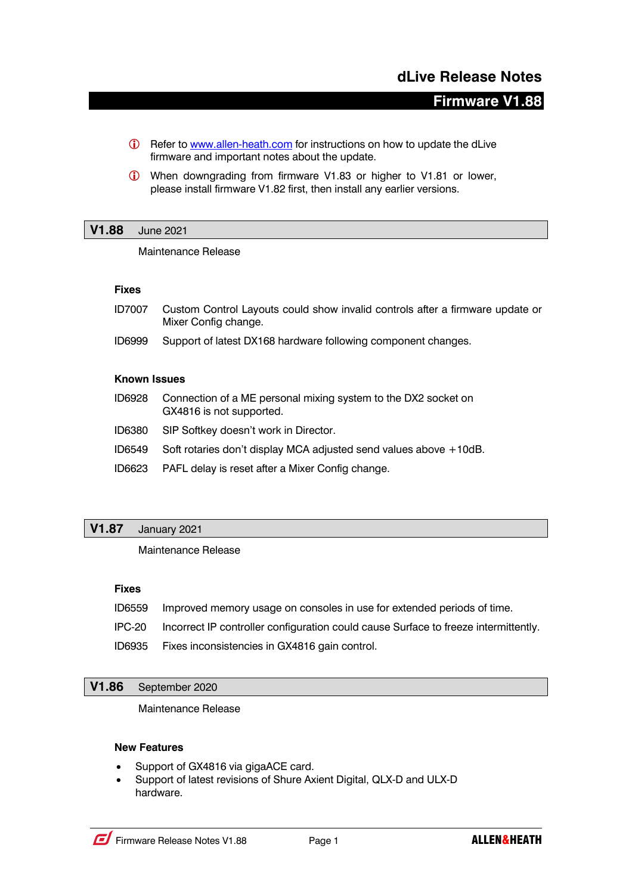# **dLive Release Notes**

# **Firmware V1.88**

- **i** Refer to www.allen-heath.com for instructions on how to update the dLive firmware and important notes about the update.
- **i** When downgrading from firmware V1.83 or higher to V1.81 or lower, please install firmware V1.82 first, then install any earlier versions.

#### **V1.88** June 2021

Maintenance Release

#### **Fixes**

- ID7007 Custom Control Layouts could show invalid controls after a firmware update or Mixer Config change.
- ID6999 Support of latest DX168 hardware following component changes.

#### **Known Issues**

- ID6928 Connection of a ME personal mixing system to the DX2 socket on GX4816 is not supported.
- ID6380 SIP Softkey doesn't work in Director.
- ID6549 Soft rotaries don't display MCA adjusted send values above +10dB.
- ID6623 PAFL delay is reset after a Mixer Config change.

## **V1.87** January 2021

## Maintenance Release

## **Fixes**

- ID6559 Improved memory usage on consoles in use for extended periods of time.
- IPC-20 Incorrect IP controller configuration could cause Surface to freeze intermittently.
- ID6935 Fixes inconsistencies in GX4816 gain control.

#### **V1.86** September 2020

Maintenance Release

#### **New Features**

- Support of GX4816 via gigaACE card.
- Support of latest revisions of Shure Axient Digital, QLX-D and ULX-D hardware.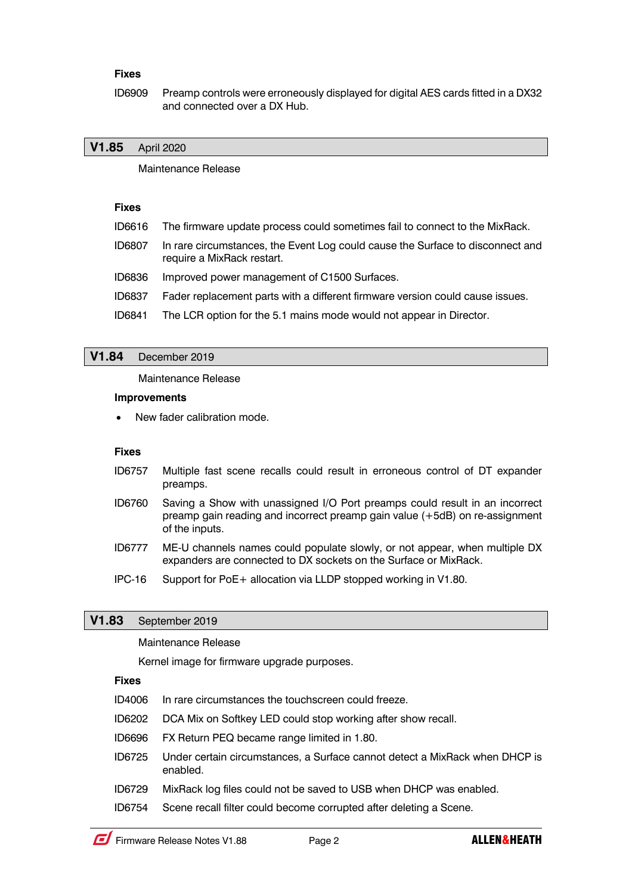## **Fixes**

ID6909 Preamp controls were erroneously displayed for digital AES cards fitted in a DX32 and connected over a DX Hub.

## **V1.85** April 2020

Maintenance Release

## **Fixes**

- ID6616 The firmware update process could sometimes fail to connect to the MixRack.
- ID6807 In rare circumstances, the Event Log could cause the Surface to disconnect and require a MixRack restart.
- ID6836 Improved power management of C1500 Surfaces.
- ID6837 Fader replacement parts with a different firmware version could cause issues.
- ID6841 The LCR option for the 5.1 mains mode would not appear in Director.

#### **V1.84** December 2019

Maintenance Release

#### **Improvements**

New fader calibration mode.

#### **Fixes**

- ID6757 Multiple fast scene recalls could result in erroneous control of DT expander preamps.
- ID6760 Saving a Show with unassigned I/O Port preamps could result in an incorrect preamp gain reading and incorrect preamp gain value (+5dB) on re-assignment of the inputs.
- ID6777 ME-U channels names could populate slowly, or not appear, when multiple DX expanders are connected to DX sockets on the Surface or MixRack.
- IPC-16 Support for PoE+ allocation via LLDP stopped working in V1.80.

## **V1.83** September 2019

Maintenance Release

Kernel image for firmware upgrade purposes.

#### **Fixes**

- ID4006 In rare circumstances the touchscreen could freeze.
- ID6202 DCA Mix on Softkey LED could stop working after show recall.
- ID6696 FX Return PEQ became range limited in 1.80.
- ID6725 Under certain circumstances, a Surface cannot detect a MixRack when DHCP is enabled.
- ID6729 MixRack log files could not be saved to USB when DHCP was enabled.
- ID6754 Scene recall filter could become corrupted after deleting a Scene.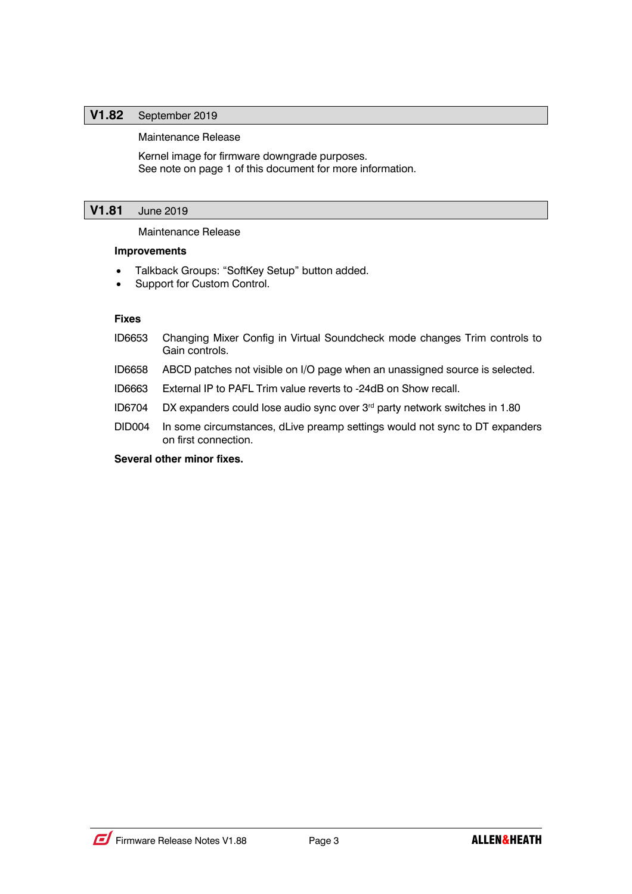## **V1.82** September 2019

#### Maintenance Release

Kernel image for firmware downgrade purposes. See note on page 1 of this document for more information.

## **V1.81** June 2019

Maintenance Release

## **Improvements**

- Talkback Groups: "SoftKey Setup" button added.
- Support for Custom Control.

#### **Fixes**

- ID6653 Changing Mixer Config in Virtual Soundcheck mode changes Trim controls to Gain controls.
- ID6658 ABCD patches not visible on I/O page when an unassigned source is selected.
- ID6663 External IP to PAFL Trim value reverts to -24dB on Show recall.
- ID6704 DX expanders could lose audio sync over 3rd party network switches in 1.80
- DID004 In some circumstances, dLive preamp settings would not sync to DT expanders on first connection.

#### **Several other minor fixes.**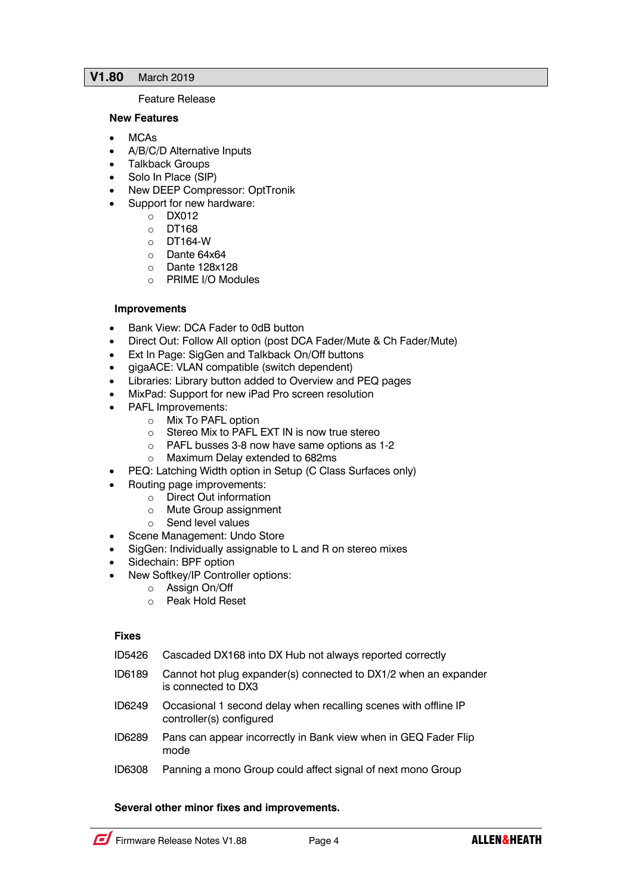## **V1.80** March 2019

#### Feature Release

#### **New Features**

- MCAs
- A/B/C/D Alternative Inputs
- Talkback Groups
- Solo In Place (SIP)
- New DEEP Compressor: OptTronik
- Support for new hardware:
	- o DX012
		- o DT168
		- $O$  DT164-W
		- o Dante 64x64
		- o Dante 128x128
		- o PRIME I/O Modules

## **Improvements**

- Bank View: DCA Fader to 0dB button
- Direct Out: Follow All option (post DCA Fader/Mute & Ch Fader/Mute)
- Ext In Page: SigGen and Talkback On/Off buttons
- gigaACE: VLAN compatible (switch dependent)
- Libraries: Library button added to Overview and PEQ pages
- MixPad: Support for new iPad Pro screen resolution
- PAFL Improvements:
	- o Mix To PAFL option
	- o Stereo Mix to PAFL EXT IN is now true stereo
	- o PAFL busses 3-8 now have same options as 1-2
	- o Maximum Delay extended to 682ms
- PEQ: Latching Width option in Setup (C Class Surfaces only)
- Routing page improvements:
	- o Direct Out information
	- o Mute Group assignment
	- o Send level values
- Scene Management: Undo Store
- SigGen: Individually assignable to L and R on stereo mixes
- Sidechain: BPF option
- New Softkey/IP Controller options:
	- o Assign On/Off
		- o Peak Hold Reset

#### **Fixes**

- ID5426 Cascaded DX168 into DX Hub not always reported correctly
- ID6189 Cannot hot plug expander(s) connected to DX1/2 when an expander is connected to DX3
- ID6249 Occasional 1 second delay when recalling scenes with offline IP controller(s) configured
- ID6289 Pans can appear incorrectly in Bank view when in GEQ Fader Flip mode
- ID6308 Panning a mono Group could affect signal of next mono Group

## **Several other minor fixes and improvements.**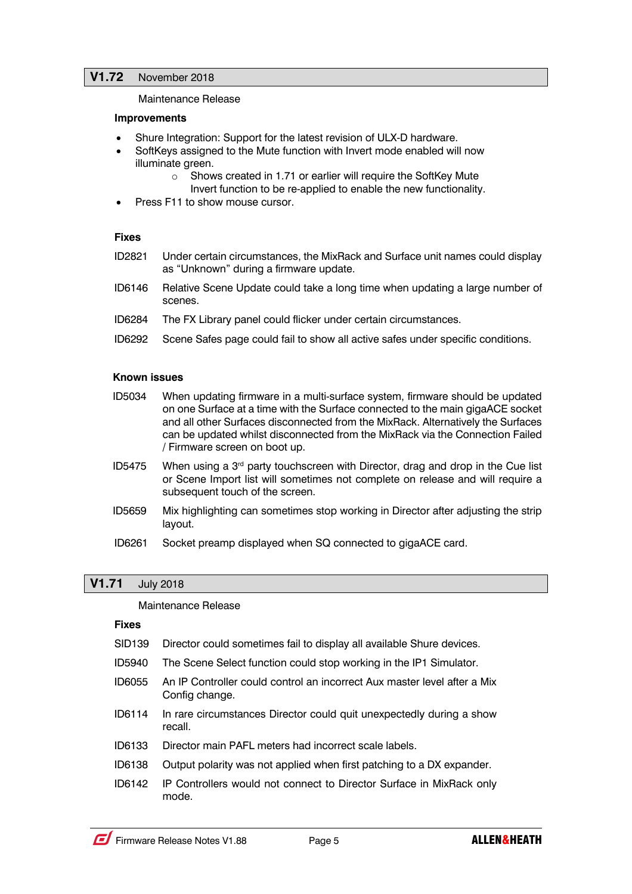## **V1.72** November 2018

Maintenance Release

#### **Improvements**

- Shure Integration: Support for the latest revision of ULX-D hardware.
- SoftKeys assigned to the Mute function with Invert mode enabled will now illuminate green.
	- o Shows created in 1.71 or earlier will require the SoftKey Mute Invert function to be re-applied to enable the new functionality.
- Press F11 to show mouse cursor.

#### **Fixes**

- ID2821 Under certain circumstances, the MixRack and Surface unit names could display as "Unknown" during a firmware update.
- ID6146 Relative Scene Update could take a long time when updating a large number of scenes.
- ID6284 The FX Library panel could flicker under certain circumstances.
- ID6292 Scene Safes page could fail to show all active safes under specific conditions.

#### **Known issues**

- ID5034 When updating firmware in a multi-surface system, firmware should be updated on one Surface at a time with the Surface connected to the main gigaACE socket and all other Surfaces disconnected from the MixRack. Alternatively the Surfaces can be updated whilst disconnected from the MixRack via the Connection Failed / Firmware screen on boot up.
- ID5475 When using a  $3<sup>rd</sup>$  party touchscreen with Director, drag and drop in the Cue list or Scene Import list will sometimes not complete on release and will require a subsequent touch of the screen.
- ID5659 Mix highlighting can sometimes stop working in Director after adjusting the strip layout.
- ID6261 Socket preamp displayed when SQ connected to gigaACE card.

## **V1.71** July 2018

#### Maintenance Release

#### **Fixes**

- SID139 Director could sometimes fail to display all available Shure devices.
- ID5940 The Scene Select function could stop working in the IP1 Simulator.
- ID6055 An IP Controller could control an incorrect Aux master level after a Mix Config change.
- ID6114 In rare circumstances Director could quit unexpectedly during a show recall.
- ID6133 Director main PAFL meters had incorrect scale labels.
- ID6138 Output polarity was not applied when first patching to a DX expander.
- ID6142 IP Controllers would not connect to Director Surface in MixRack only mode.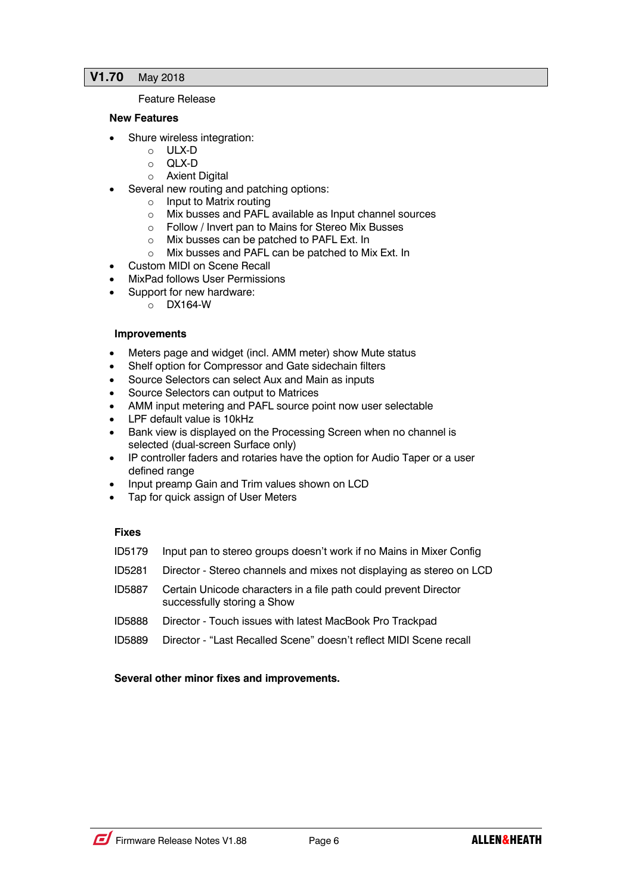## **V1.70** May 2018

#### Feature Release

#### **New Features**

- Shure wireless integration:
	- o ULX-D
	- o QLX-D
	- o Axient Digital
- Several new routing and patching options:
	- o Input to Matrix routing
	- o Mix busses and PAFL available as Input channel sources
	- o Follow / Invert pan to Mains for Stereo Mix Busses
	- o Mix busses can be patched to PAFL Ext. In
	- o Mix busses and PAFL can be patched to Mix Ext. In
- Custom MIDI on Scene Recall
- MixPad follows User Permissions
	- Support for new hardware:
		- o DX164-W

#### **Improvements**

- Meters page and widget (incl. AMM meter) show Mute status
- Shelf option for Compressor and Gate sidechain filters
- Source Selectors can select Aux and Main as inputs
- Source Selectors can output to Matrices
- AMM input metering and PAFL source point now user selectable
- LPF default value is 10kHz
- Bank view is displayed on the Processing Screen when no channel is selected (dual-screen Surface only)
- IP controller faders and rotaries have the option for Audio Taper or a user defined range
- Input preamp Gain and Trim values shown on LCD
- Tap for quick assign of User Meters

## **Fixes**

- ID5179 Input pan to stereo groups doesn't work if no Mains in Mixer Config
- ID5281 Director Stereo channels and mixes not displaying as stereo on LCD
- ID5887 Certain Unicode characters in a file path could prevent Director successfully storing a Show
- ID5888 Director Touch issues with latest MacBook Pro Trackpad
- ID5889 Director "Last Recalled Scene" doesn't reflect MIDI Scene recall

## **Several other minor fixes and improvements.**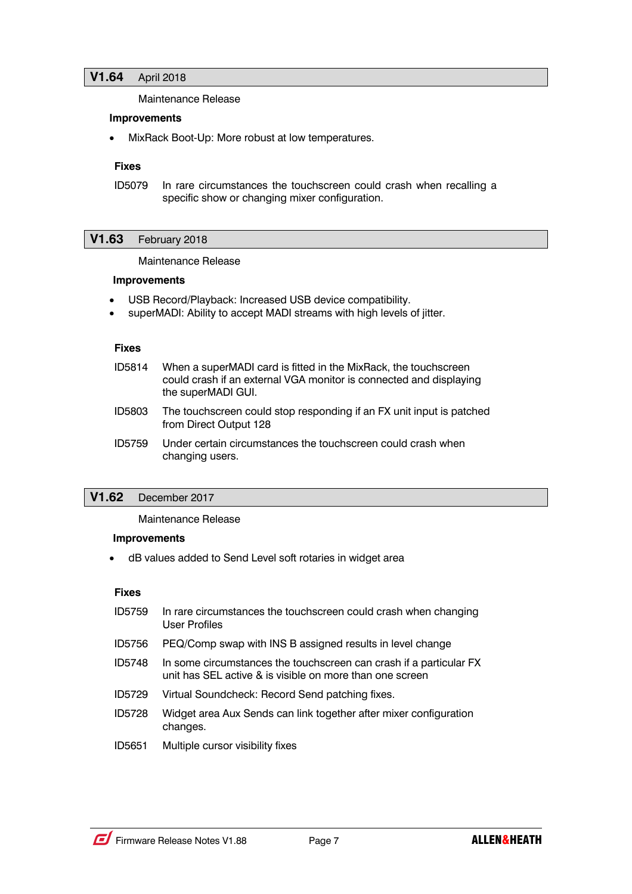Maintenance Release

#### **Improvements**

• MixRack Boot-Up: More robust at low temperatures.

#### **Fixes**

ID5079 In rare circumstances the touchscreen could crash when recalling a specific show or changing mixer configuration.

#### **V1.63** February 2018

Maintenance Release

#### **Improvements**

- USB Record/Playback: Increased USB device compatibility.
- superMADI: Ability to accept MADI streams with high levels of jitter.

#### **Fixes**

- ID5814 When a superMADI card is fitted in the MixRack, the touchscreen could crash if an external VGA monitor is connected and displaying the superMADI GUI.
- ID5803 The touchscreen could stop responding if an FX unit input is patched from Direct Output 128
- ID5759 Under certain circumstances the touchscreen could crash when changing users.

## **V1.62** December 2017

#### Maintenance Release

#### **Improvements**

• dB values added to Send Level soft rotaries in widget area

#### **Fixes**

- ID5759 In rare circumstances the touchscreen could crash when changing User Profiles
- ID5756 PEQ/Comp swap with INS B assigned results in level change
- ID5748 In some circumstances the touchscreen can crash if a particular FX unit has SEL active & is visible on more than one screen
- ID5729 Virtual Soundcheck: Record Send patching fixes.
- ID5728 Widget area Aux Sends can link together after mixer configuration changes.
- ID5651 Multiple cursor visibility fixes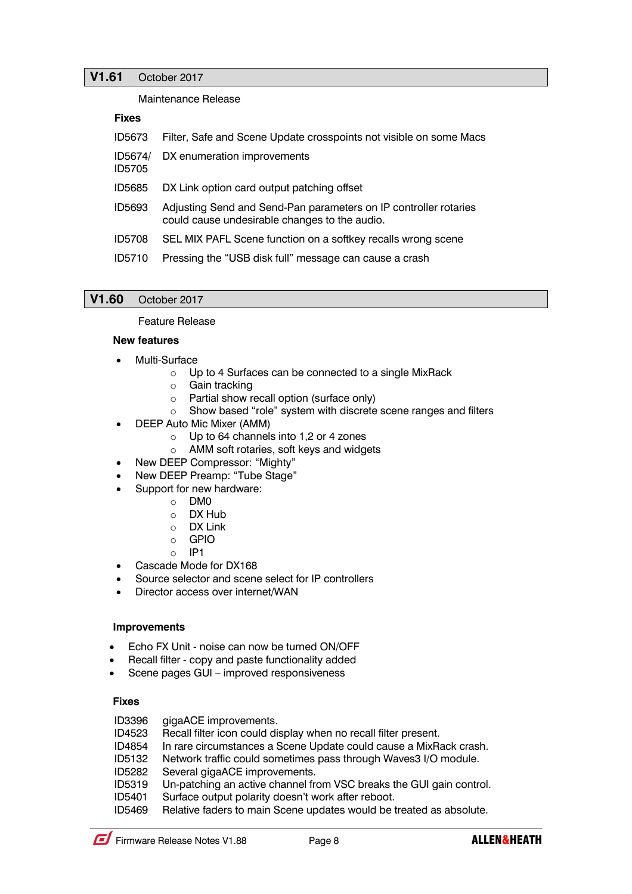## **V1.61** October 2017

Maintenance Release

### **Fixes**

| ID5673            | Filter, Safe and Scene Update crosspoints not visible on some Macs                                                |
|-------------------|-------------------------------------------------------------------------------------------------------------------|
| ID5674/<br>ID5705 | DX enumeration improvements                                                                                       |
| ID5685            | DX Link option card output patching offset                                                                        |
| ID5693            | Adjusting Send and Send-Pan parameters on IP controller rotaries<br>could cause undesirable changes to the audio. |
| <b>ID5708</b>     | SEL MIX PAFL Scene function on a softkey recalls wrong scene                                                      |
| <b>ID5710</b>     | Pressing the "USB disk full" message can cause a crash                                                            |

## **V1.60** October 2017

#### Feature Release

#### **New features**

- Multi-Surface
	- o Up to 4 Surfaces can be connected to a single MixRack
	- o Gain tracking
	- o Partial show recall option (surface only)
	- o Show based "role" system with discrete scene ranges and filters
- DEEP Auto Mic Mixer (AMM)
	- o Up to 64 channels into 1,2 or 4 zones
	- o AMM soft rotaries, soft keys and widgets
- New DEEP Compressor: "Mighty"
- New DEEP Preamp: "Tube Stage"
- Support for new hardware:
	- o DM0
	- o DX Hub
	- o DX Link
	- o GPIO
	- $O$  IP1
- Cascade Mode for DX168
- Source selector and scene select for IP controllers
- Director access over internet/WAN

## **Improvements**

- Echo FX Unit noise can now be turned ON/OFF
- Recall filter copy and paste functionality added
- Scene pages GUI improved responsiveness

## **Fixes**

ID3396 gigaACE improvements.

- ID4523 Recall filter icon could display when no recall filter present.
- ID4854 In rare circumstances a Scene Update could cause a MixRack crash.
- ID5132 Network traffic could sometimes pass through Waves3 I/O module.
- ID5282 Several gigaACE improvements.
- ID5319 Un-patching an active channel from VSC breaks the GUI gain control.
- ID5401 Surface output polarity doesn't work after reboot.
- ID5469 Relative faders to main Scene updates would be treated as absolute.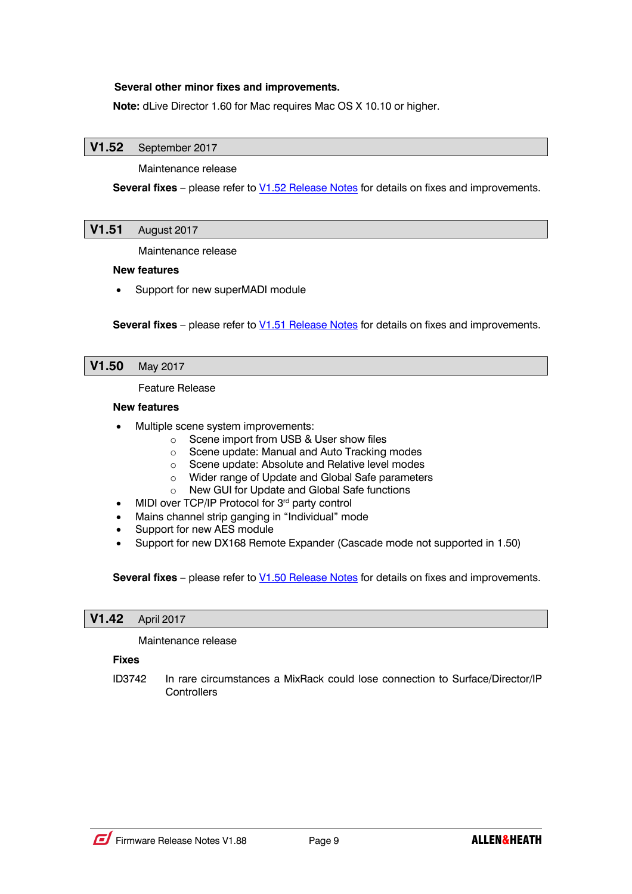## **Several other minor fixes and improvements.**

**Note:** dLive Director 1.60 for Mac requires Mac OS X 10.10 or higher.

## **V1.52** September 2017

Maintenance release

**Several fixes** – please refer to **V1.52 Release Notes** for details on fixes and improvements.

## **V1.51** August 2017

Maintenance release

#### **New features**

Support for new superMADI module

**Several fixes** – please refer to **V1.51 Release Notes** for details on fixes and improvements.

#### **V1.50** May 2017

Feature Release

#### **New features**

- Multiple scene system improvements:
	- o Scene import from USB & User show files
	- o Scene update: Manual and Auto Tracking modes
	- o Scene update: Absolute and Relative level modes
	- o Wider range of Update and Global Safe parameters
	- o New GUI for Update and Global Safe functions
- MIDI over TCP/IP Protocol for 3<sup>rd</sup> party control
- Mains channel strip ganging in "Individual" mode
- Support for new AES module
- Support for new DX168 Remote Expander (Cascade mode not supported in 1.50)

**Several fixes** – please refer to V1.50 Release Notes for details on fixes and improvements.

#### **V1.42** April 2017

Maintenance release

## **Fixes**

ID3742 In rare circumstances a MixRack could lose connection to Surface/Director/IP **Controllers**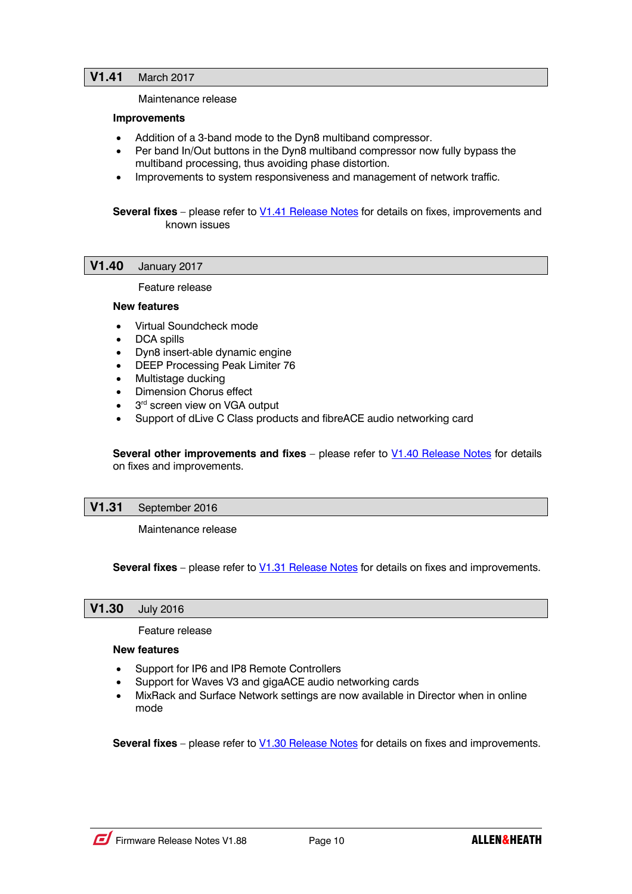#### Maintenance release

#### **Improvements**

- Addition of a 3-band mode to the Dyn8 multiband compressor.
- Per band In/Out buttons in the Dyn8 multiband compressor now fully bypass the multiband processing, thus avoiding phase distortion.
- Improvements to system responsiveness and management of network traffic.

**Several fixes** – please refer to **V1.41 Release Notes** for details on fixes, improvements and known issues

#### **V1.40** January 2017

Feature release

#### **New features**

- Virtual Soundcheck mode
- DCA spills
- Dyn8 insert-able dynamic engine
- DEEP Processing Peak Limiter 76
- Multistage ducking
- **Dimension Chorus effect**
- 3<sup>rd</sup> screen view on VGA output
- Support of dLive C Class products and fibreACE audio networking card

**Several other improvements and fixes** – please refer to **V1.40 Release Notes** for details on fixes and improvements.

## **V1.31** September 2016

Maintenance release

**Several fixes** – please refer to V1.31 Release Notes for details on fixes and improvements.

## **V1.30** July 2016

Feature release

#### **New features**

- Support for IP6 and IP8 Remote Controllers
- Support for Waves V3 and gigaACE audio networking cards
- MixRack and Surface Network settings are now available in Director when in online mode

**Several fixes** – please refer to V1.30 Release Notes for details on fixes and improvements.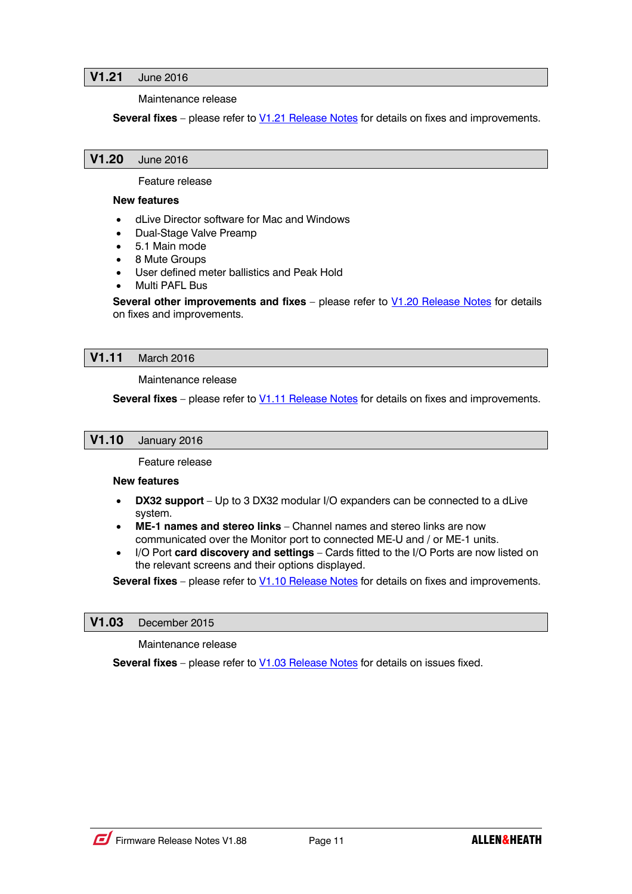## **V1.21** June 2016

Maintenance release

**Several fixes** – please refer to **V1.21 Release Notes** for details on fixes and improvements.

### **V1.20** June 2016

Feature release

#### **New features**

- dLive Director software for Mac and Windows
- Dual-Stage Valve Preamp
- 5.1 Main mode
- 8 Mute Groups
- User defined meter ballistics and Peak Hold
- Multi PAFL Bus

**Several other improvements and fixes** – please refer to V1.20 Release Notes for details on fixes and improvements.

#### **V1.11** March 2016

Maintenance release

**Several fixes** – please refer to **V1.11 Release Notes** for details on fixes and improvements.

## **V1.10** January 2016

Feature release

**New features**

- **DX32 support** Up to 3 DX32 modular I/O expanders can be connected to a dLive system.
- **ME-1 names and stereo links** Channel names and stereo links are now communicated over the Monitor port to connected ME-U and / or ME-1 units.
- I/O Port **card discovery and settings** Cards fitted to the I/O Ports are now listed on the relevant screens and their options displayed.

**Several fixes** – please refer to **V1.10 Release Notes** for details on fixes and improvements.

#### **V1.03** December 2015

Maintenance release

**Several fixes** – please refer to **V1.03 Release Notes** for details on issues fixed.